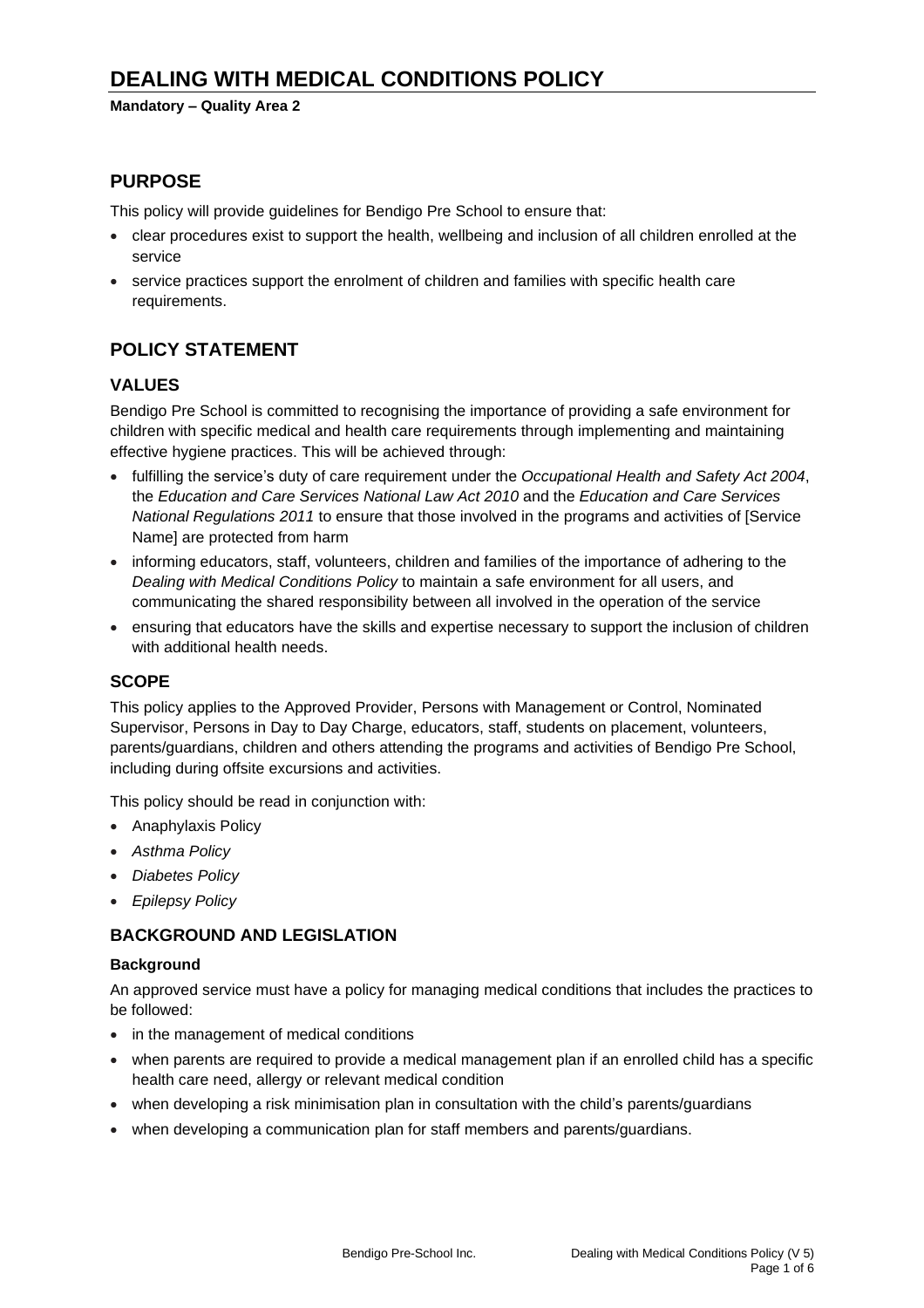#### **Mandatory – Quality Area 2**

# **PURPOSE**

This policy will provide guidelines for Bendigo Pre School to ensure that:

- clear procedures exist to support the health, wellbeing and inclusion of all children enrolled at the service
- service practices support the enrolment of children and families with specific health care requirements.

# **POLICY STATEMENT**

## **VALUES**

Bendigo Pre School is committed to recognising the importance of providing a safe environment for children with specific medical and health care requirements through implementing and maintaining effective hygiene practices. This will be achieved through:

- fulfilling the service's duty of care requirement under the *Occupational Health and Safety Act 2004*, the *Education and Care Services National Law Act 2010* and the *Education and Care Services National Regulations 2011* to ensure that those involved in the programs and activities of [Service Name] are protected from harm
- informing educators, staff, volunteers, children and families of the importance of adhering to the *Dealing with Medical Conditions Policy* to maintain a safe environment for all users, and communicating the shared responsibility between all involved in the operation of the service
- ensuring that educators have the skills and expertise necessary to support the inclusion of children with additional health needs.

### **SCOPE**

This policy applies to the Approved Provider, Persons with Management or Control, Nominated Supervisor, Persons in Day to Day Charge, educators, staff, students on placement, volunteers, parents/guardians, children and others attending the programs and activities of Bendigo Pre School, including during offsite excursions and activities.

This policy should be read in conjunction with:

- Anaphylaxis Policy
- *Asthma Policy*
- *Diabetes Policy*
- *Epilepsy Policy*

## **BACKGROUND AND LEGISLATION**

#### **Background**

An approved service must have a policy for managing medical conditions that includes the practices to be followed:

- in the management of medical conditions
- when parents are required to provide a medical management plan if an enrolled child has a specific health care need, allergy or relevant medical condition
- when developing a risk minimisation plan in consultation with the child's parents/guardians
- when developing a communication plan for staff members and parents/guardians.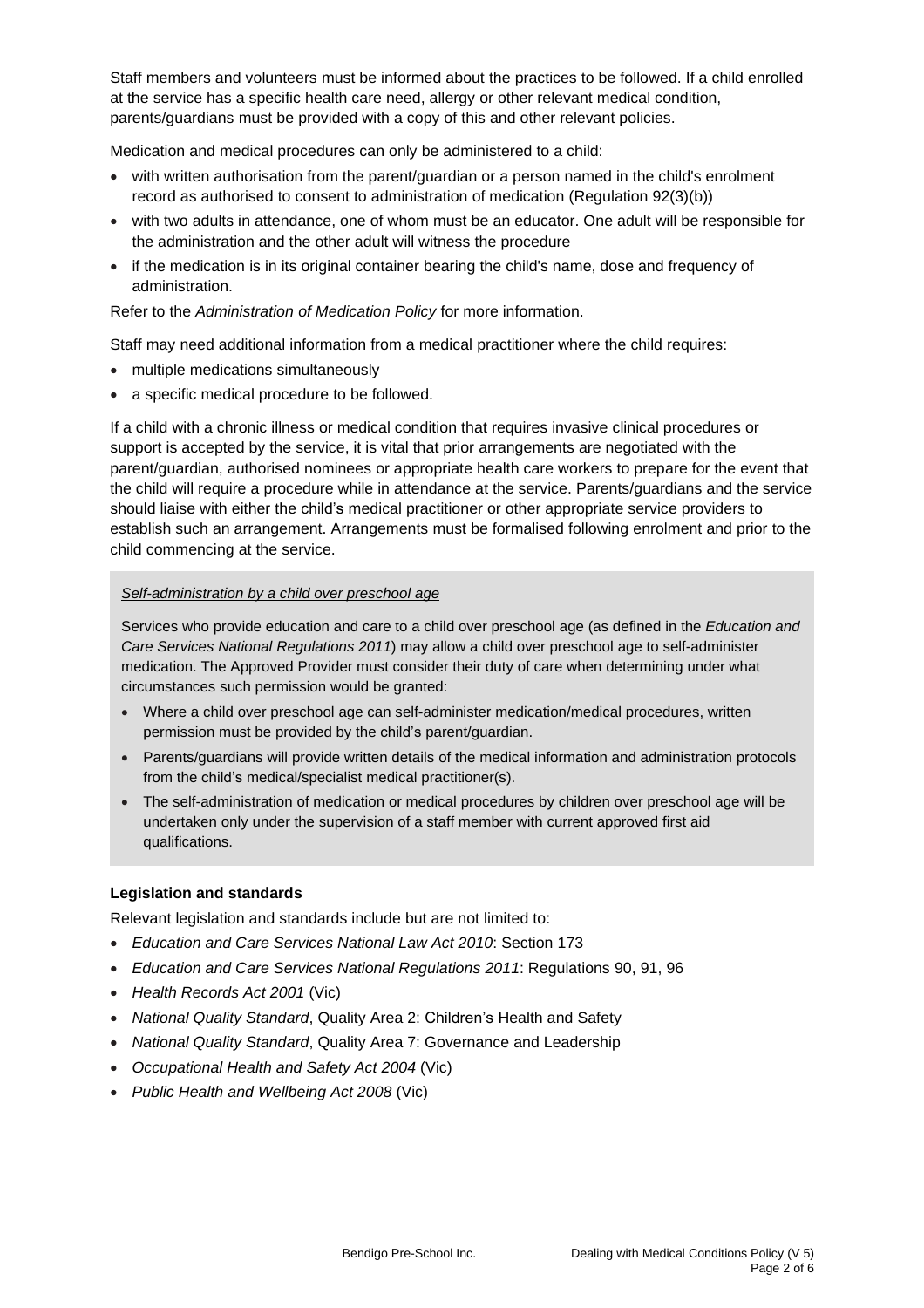Staff members and volunteers must be informed about the practices to be followed. If a child enrolled at the service has a specific health care need, allergy or other relevant medical condition, parents/guardians must be provided with a copy of this and other relevant policies.

Medication and medical procedures can only be administered to a child:

- with written authorisation from the parent/guardian or a person named in the child's enrolment record as authorised to consent to administration of medication (Regulation 92(3)(b))
- with two adults in attendance, one of whom must be an educator. One adult will be responsible for the administration and the other adult will witness the procedure
- if the medication is in its original container bearing the child's name, dose and frequency of administration.

Refer to the *Administration of Medication Policy* for more information.

Staff may need additional information from a medical practitioner where the child requires:

- multiple medications simultaneously
- a specific medical procedure to be followed.

If a child with a chronic illness or medical condition that requires invasive clinical procedures or support is accepted by the service, it is vital that prior arrangements are negotiated with the parent/guardian, authorised nominees or appropriate health care workers to prepare for the event that the child will require a procedure while in attendance at the service. Parents/guardians and the service should liaise with either the child's medical practitioner or other appropriate service providers to establish such an arrangement. Arrangements must be formalised following enrolment and prior to the child commencing at the service.

### *Self-administration by a child over preschool age*

Services who provide education and care to a child over preschool age (as defined in the *Education and Care Services National Regulations 2011*) may allow a child over preschool age to self-administer medication. The Approved Provider must consider their duty of care when determining under what circumstances such permission would be granted:

- Where a child over preschool age can self-administer medication/medical procedures, written permission must be provided by the child's parent/guardian.
- Parents/guardians will provide written details of the medical information and administration protocols from the child's medical/specialist medical practitioner(s).
- The self-administration of medication or medical procedures by children over preschool age will be undertaken only under the supervision of a staff member with current approved first aid qualifications.

#### **Legislation and standards**

Relevant legislation and standards include but are not limited to:

- *Education and Care Services National Law Act 2010*: Section 173
- *Education and Care Services National Regulations 2011*: Regulations 90, 91, 96
- *Health Records Act 2001* (Vic)
- *National Quality Standard*, Quality Area 2: Children's Health and Safety
- *National Quality Standard*, Quality Area 7: Governance and Leadership
- *Occupational Health and Safety Act 2004* (Vic)
- *Public Health and Wellbeing Act 2008* (Vic)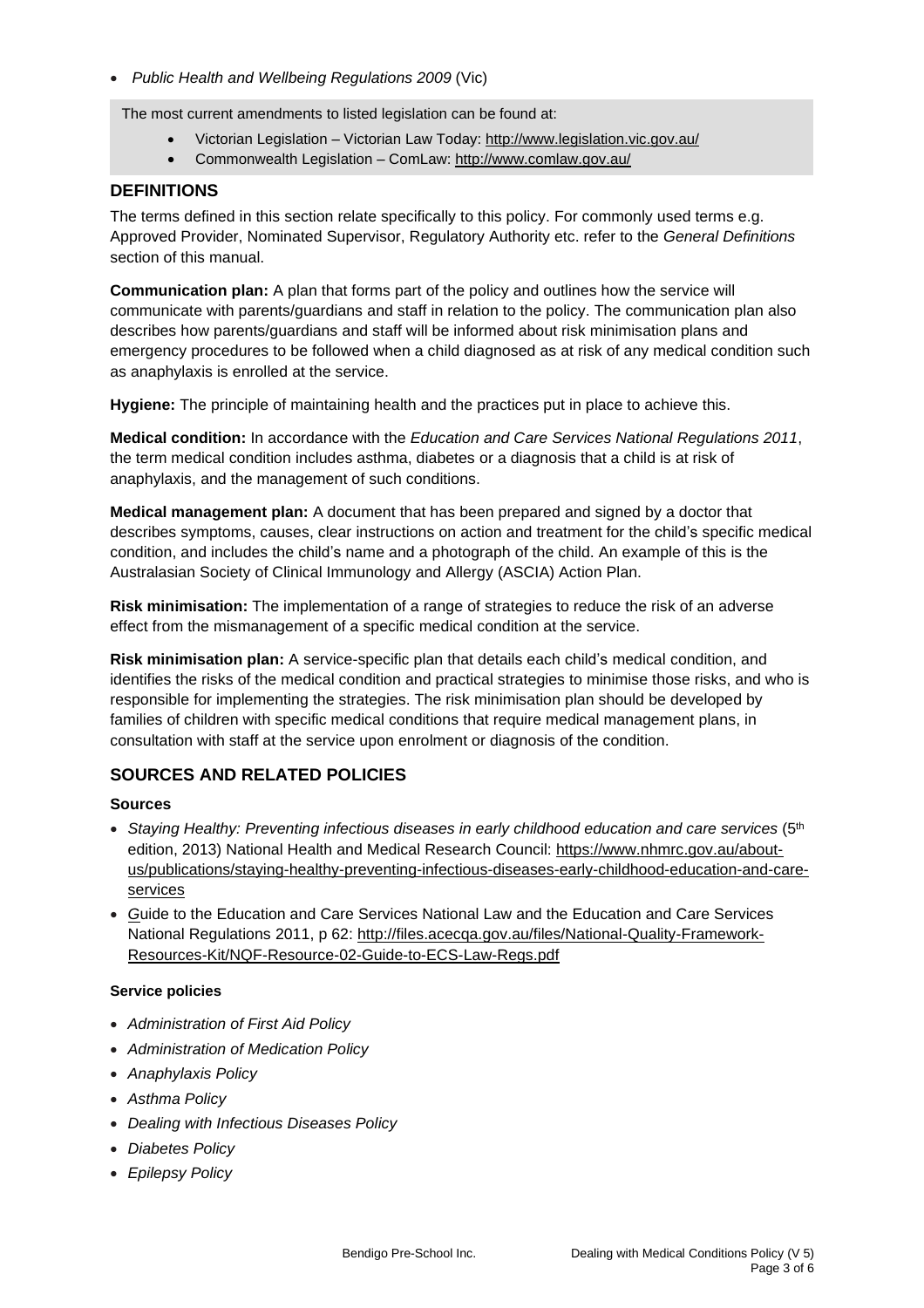• *Public Health and Wellbeing Regulations 2009* (Vic)

The most current amendments to listed legislation can be found at:

- Victorian Legislation Victorian Law Today: <http://www.legislation.vic.gov.au/>
- Commonwealth Legislation ComLaw: <http://www.comlaw.gov.au/>

### **DEFINITIONS**

The terms defined in this section relate specifically to this policy. For commonly used terms e.g. Approved Provider, Nominated Supervisor, Regulatory Authority etc. refer to the *General Definitions* section of this manual.

**Communication plan:** A plan that forms part of the policy and outlines how the service will communicate with parents/guardians and staff in relation to the policy. The communication plan also describes how parents/guardians and staff will be informed about risk minimisation plans and emergency procedures to be followed when a child diagnosed as at risk of any medical condition such as anaphylaxis is enrolled at the service.

**Hygiene:** The principle of maintaining health and the practices put in place to achieve this.

**Medical condition:** In accordance with the *Education and Care Services National Regulations 2011*, the term medical condition includes asthma, diabetes or a diagnosis that a child is at risk of anaphylaxis, and the management of such conditions.

**Medical management plan:** A document that has been prepared and signed by a doctor that describes symptoms, causes, clear instructions on action and treatment for the child's specific medical condition, and includes the child's name and a photograph of the child. An example of this is the Australasian Society of Clinical Immunology and Allergy (ASCIA) Action Plan.

**Risk minimisation:** The implementation of a range of strategies to reduce the risk of an adverse effect from the mismanagement of a specific medical condition at the service.

**Risk minimisation plan:** A service-specific plan that details each child's medical condition, and identifies the risks of the medical condition and practical strategies to minimise those risks, and who is responsible for implementing the strategies. The risk minimisation plan should be developed by families of children with specific medical conditions that require medical management plans, in consultation with staff at the service upon enrolment or diagnosis of the condition.

### **SOURCES AND RELATED POLICIES**

#### **Sources**

- *Staying Healthy: Preventing infectious diseases in early childhood education and care services* (5th edition, 2013) National Health and Medical Research Council: [https://www.nhmrc.gov.au/about](https://www.nhmrc.gov.au/about-us/publications/staying-healthy-preventing-infectious-diseases-early-childhood-education-and-care-services)[us/publications/staying-healthy-preventing-infectious-diseases-early-childhood-education-and-care](https://www.nhmrc.gov.au/about-us/publications/staying-healthy-preventing-infectious-diseases-early-childhood-education-and-care-services)[services](https://www.nhmrc.gov.au/about-us/publications/staying-healthy-preventing-infectious-diseases-early-childhood-education-and-care-services)
- *G*uide to the Education and Care Services National Law and the Education and Care Services National Regulations 2011, p 62: [http://files.acecqa.gov.au/files/National-Quality-Framework-](http://files.acecqa.gov.au/files/National-Quality-Framework-Resources-Kit/NQF-Resource-02-Guide-to-ECS-Law-Regs.pdf)[Resources-Kit/NQF-Resource-02-Guide-to-ECS-Law-Regs.pdf](http://files.acecqa.gov.au/files/National-Quality-Framework-Resources-Kit/NQF-Resource-02-Guide-to-ECS-Law-Regs.pdf)

#### **Service policies**

- *Administration of First Aid Policy*
- *Administration of Medication Policy*
- *Anaphylaxis Policy*
- *Asthma Policy*
- *Dealing with Infectious Diseases Policy*
- *Diabetes Policy*
- *Epilepsy Policy*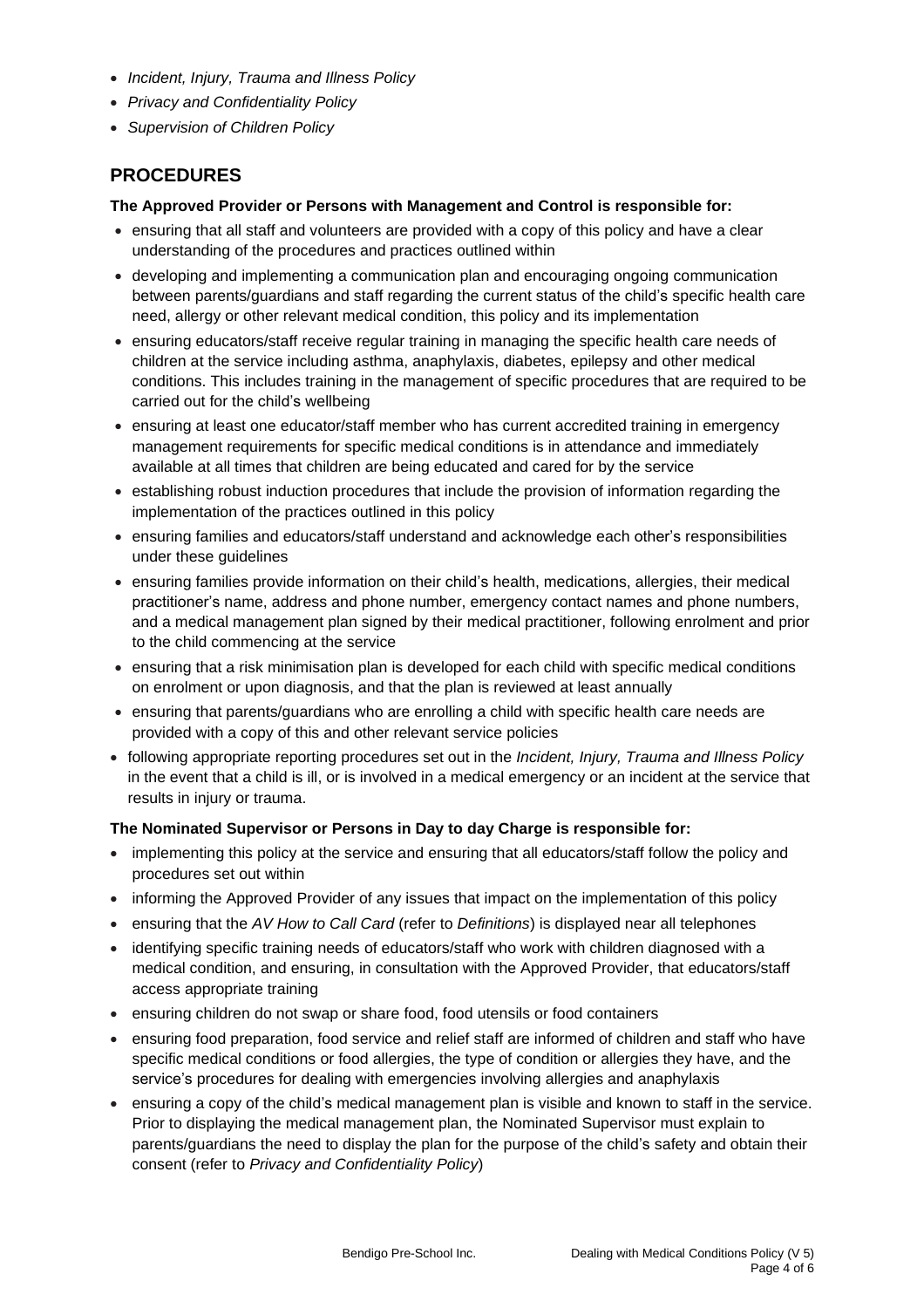- *Incident, Injury, Trauma and Illness Policy*
- *Privacy and Confidentiality Policy*
- *Supervision of Children Policy*

# **PROCEDURES**

#### **The Approved Provider or Persons with Management and Control is responsible for:**

- ensuring that all staff and volunteers are provided with a copy of this policy and have a clear understanding of the procedures and practices outlined within
- developing and implementing a communication plan and encouraging ongoing communication between parents/guardians and staff regarding the current status of the child's specific health care need, allergy or other relevant medical condition, this policy and its implementation
- ensuring educators/staff receive regular training in managing the specific health care needs of children at the service including asthma, anaphylaxis, diabetes, epilepsy and other medical conditions. This includes training in the management of specific procedures that are required to be carried out for the child's wellbeing
- ensuring at least one educator/staff member who has current accredited training in emergency management requirements for specific medical conditions is in attendance and immediately available at all times that children are being educated and cared for by the service
- establishing robust induction procedures that include the provision of information regarding the implementation of the practices outlined in this policy
- ensuring families and educators/staff understand and acknowledge each other's responsibilities under these guidelines
- ensuring families provide information on their child's health, medications, allergies, their medical practitioner's name, address and phone number, emergency contact names and phone numbers, and a medical management plan signed by their medical practitioner, following enrolment and prior to the child commencing at the service
- ensuring that a risk minimisation plan is developed for each child with specific medical conditions on enrolment or upon diagnosis, and that the plan is reviewed at least annually
- ensuring that parents/guardians who are enrolling a child with specific health care needs are provided with a copy of this and other relevant service policies
- following appropriate reporting procedures set out in the *Incident, Injury, Trauma and Illness Policy* in the event that a child is ill, or is involved in a medical emergency or an incident at the service that results in injury or trauma.

#### **The Nominated Supervisor or Persons in Day to day Charge is responsible for:**

- implementing this policy at the service and ensuring that all educators/staff follow the policy and procedures set out within
- informing the Approved Provider of any issues that impact on the implementation of this policy
- ensuring that the *AV How to Call Card* (refer to *Definitions*) is displayed near all telephones
- identifying specific training needs of educators/staff who work with children diagnosed with a medical condition, and ensuring, in consultation with the Approved Provider, that educators/staff access appropriate training
- ensuring children do not swap or share food, food utensils or food containers
- ensuring food preparation, food service and relief staff are informed of children and staff who have specific medical conditions or food allergies, the type of condition or allergies they have, and the service's procedures for dealing with emergencies involving allergies and anaphylaxis
- ensuring a copy of the child's medical management plan is visible and known to staff in the service. Prior to displaying the medical management plan, the Nominated Supervisor must explain to parents/guardians the need to display the plan for the purpose of the child's safety and obtain their consent (refer to *Privacy and Confidentiality Policy*)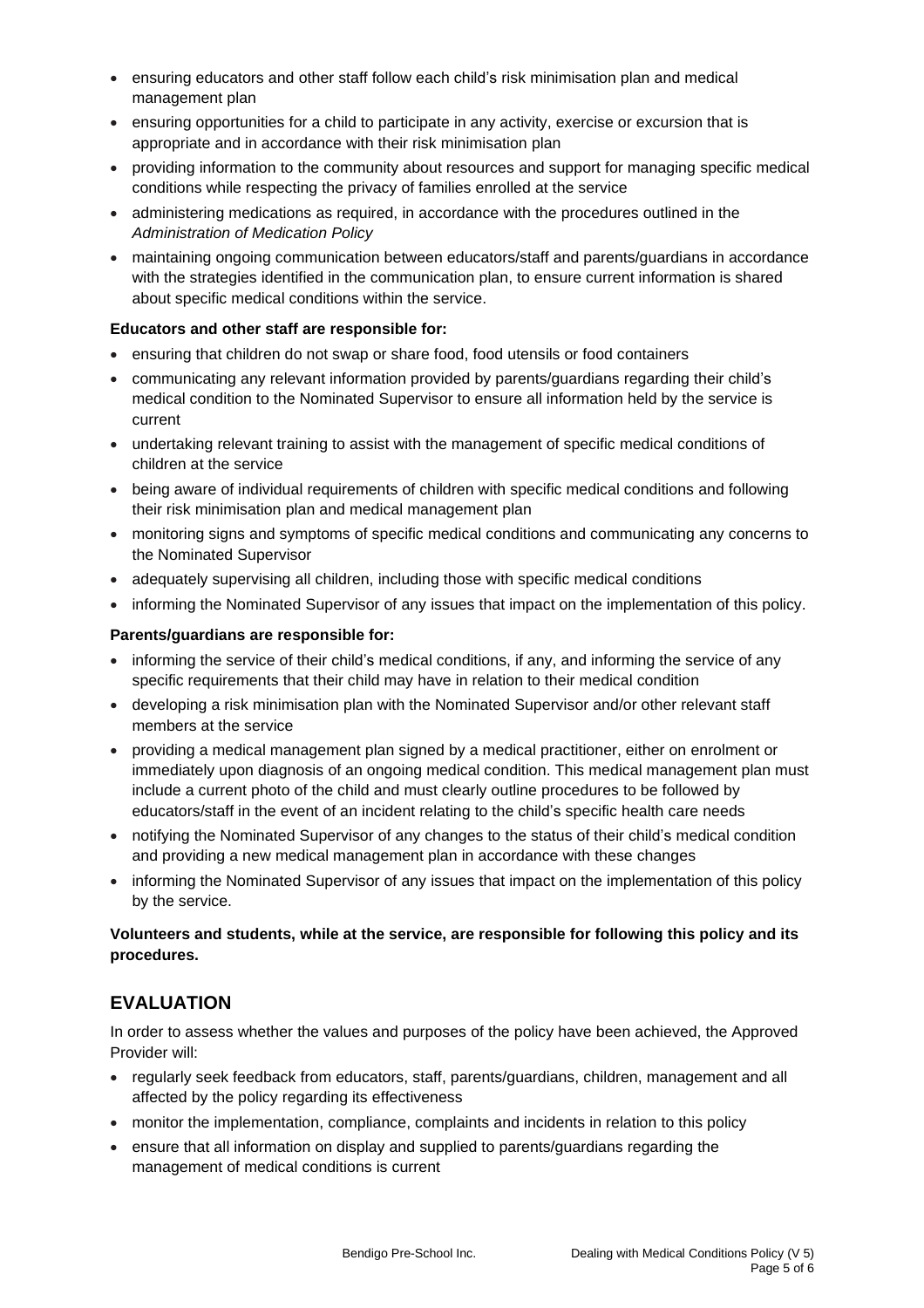- ensuring educators and other staff follow each child's risk minimisation plan and medical management plan
- ensuring opportunities for a child to participate in any activity, exercise or excursion that is appropriate and in accordance with their risk minimisation plan
- providing information to the community about resources and support for managing specific medical conditions while respecting the privacy of families enrolled at the service
- administering medications as required, in accordance with the procedures outlined in the *Administration of Medication Policy*
- maintaining ongoing communication between educators/staff and parents/guardians in accordance with the strategies identified in the communication plan, to ensure current information is shared about specific medical conditions within the service.

#### **Educators and other staff are responsible for:**

- ensuring that children do not swap or share food, food utensils or food containers
- communicating any relevant information provided by parents/guardians regarding their child's medical condition to the Nominated Supervisor to ensure all information held by the service is current
- undertaking relevant training to assist with the management of specific medical conditions of children at the service
- being aware of individual requirements of children with specific medical conditions and following their risk minimisation plan and medical management plan
- monitoring signs and symptoms of specific medical conditions and communicating any concerns to the Nominated Supervisor
- adequately supervising all children, including those with specific medical conditions
- informing the Nominated Supervisor of any issues that impact on the implementation of this policy.

#### **Parents/guardians are responsible for:**

- informing the service of their child's medical conditions, if any, and informing the service of any specific requirements that their child may have in relation to their medical condition
- developing a risk minimisation plan with the Nominated Supervisor and/or other relevant staff members at the service
- providing a medical management plan signed by a medical practitioner, either on enrolment or immediately upon diagnosis of an ongoing medical condition. This medical management plan must include a current photo of the child and must clearly outline procedures to be followed by educators/staff in the event of an incident relating to the child's specific health care needs
- notifying the Nominated Supervisor of any changes to the status of their child's medical condition and providing a new medical management plan in accordance with these changes
- informing the Nominated Supervisor of any issues that impact on the implementation of this policy by the service.

#### **Volunteers and students, while at the service, are responsible for following this policy and its procedures.**

## **EVALUATION**

In order to assess whether the values and purposes of the policy have been achieved, the Approved Provider will:

- regularly seek feedback from educators, staff, parents/guardians, children, management and all affected by the policy regarding its effectiveness
- monitor the implementation, compliance, complaints and incidents in relation to this policy
- ensure that all information on display and supplied to parents/guardians regarding the management of medical conditions is current